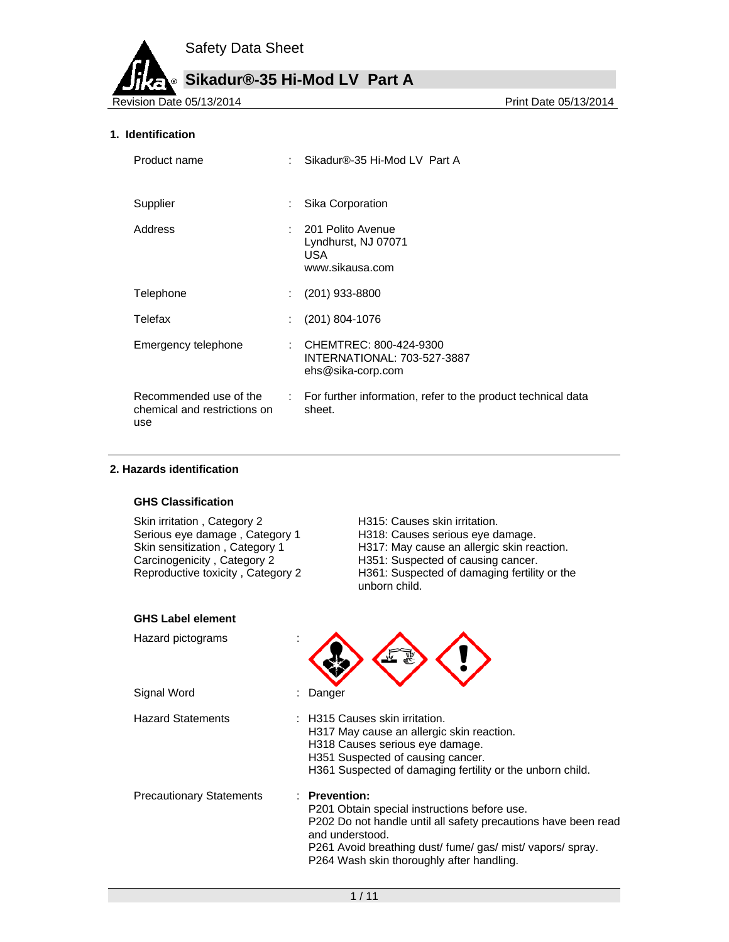**Sikadur®-35 Hi-Mod LV Part A**

Revision Date 05/13/2014

#### **1. Identification**

| Product name                                                  | Sikadur®-35 Hi-Mod LV Part A                                               |
|---------------------------------------------------------------|----------------------------------------------------------------------------|
| Supplier                                                      | Sika Corporation                                                           |
| Address                                                       | 201 Polito Avenue<br>Lyndhurst, NJ 07071<br>USA.<br>www.sikausa.com        |
| Telephone                                                     | $(201)$ 933-8800                                                           |
| Telefax                                                       | $(201)$ 804-1076                                                           |
| Emergency telephone                                           | CHEMTREC: 800-424-9300<br>INTERNATIONAL: 703-527-3887<br>ehs@sika-corp.com |
| Recommended use of the<br>chemical and restrictions on<br>use | : For further information, refer to the product technical data<br>sheet.   |

#### **2. Hazards identification**

#### **GHS Classification**

Skin irritation, Category 2 H315: Causes skin irritation.

Serious eye damage , Category 1 H318: Causes serious eye damage.<br>
Skin sensitization , Category 1 H317: May cause an allergic skin rea<br>
Carcinogenicity , Category 2 H351: Suspected of causing cancer. H317: May cause an allergic skin reaction. Carcinogenicity , Category 2 **H351:** Suspected of causing cancer.<br>Reproductive toxicity , Category 2 **H361:** Suspected of damaging fertility H361: Suspected of damaging fertility or the unborn child.

| <b>GHS Label element</b>        |                                                                                                                                                                                                                                                                          |
|---------------------------------|--------------------------------------------------------------------------------------------------------------------------------------------------------------------------------------------------------------------------------------------------------------------------|
| Hazard pictograms               |                                                                                                                                                                                                                                                                          |
| Signal Word                     | Danger                                                                                                                                                                                                                                                                   |
| <b>Hazard Statements</b>        | $\therefore$ H315 Causes skin irritation.<br>H317 May cause an allergic skin reaction.<br>H318 Causes serious eye damage.<br>H351 Suspected of causing cancer.<br>H361 Suspected of damaging fertility or the unborn child.                                              |
| <b>Precautionary Statements</b> | $\therefore$ Prevention:<br>P201 Obtain special instructions before use.<br>P202 Do not handle until all safety precautions have been read<br>and understood.<br>P261 Avoid breathing dust/ fume/ gas/ mist/ vapors/ spray.<br>P264 Wash skin thoroughly after handling. |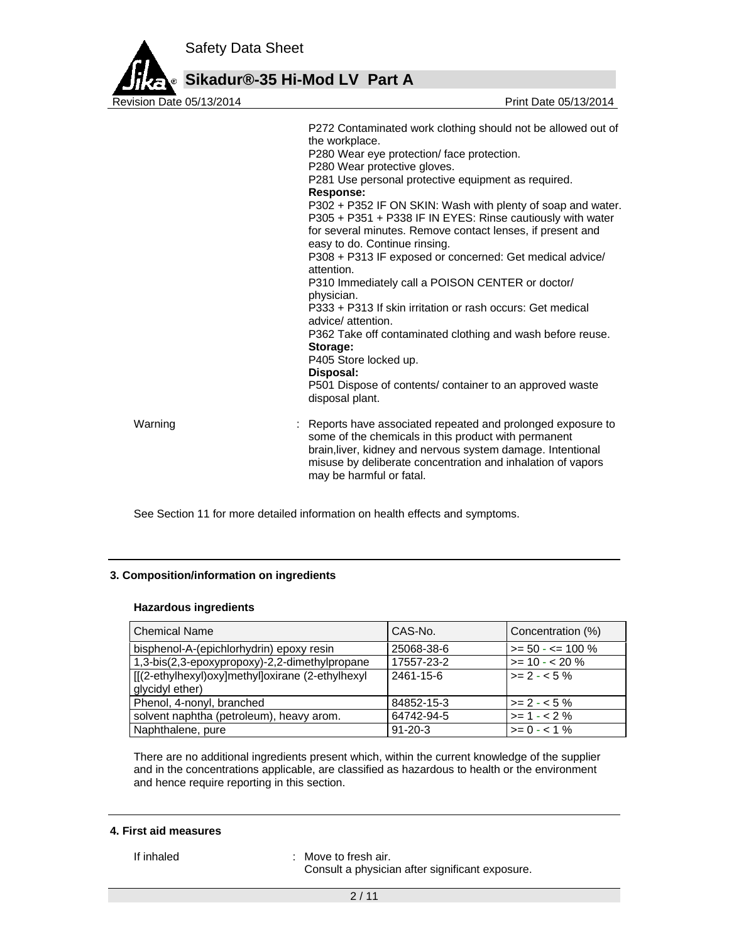

|         | P272 Contaminated work clothing should not be allowed out of<br>the workplace.<br>P280 Wear eye protection/ face protection.<br>P280 Wear protective gloves.<br>P281 Use personal protective equipment as required.<br><b>Response:</b><br>P302 + P352 IF ON SKIN: Wash with plenty of soap and water.<br>P305 + P351 + P338 IF IN EYES: Rinse cautiously with water<br>for several minutes. Remove contact lenses, if present and<br>easy to do. Continue rinsing.<br>P308 + P313 IF exposed or concerned: Get medical advice/<br>attention.<br>P310 Immediately call a POISON CENTER or doctor/<br>physician.<br>P333 + P313 If skin irritation or rash occurs: Get medical<br>advice/attention.<br>P362 Take off contaminated clothing and wash before reuse.<br>Storage:<br>P405 Store locked up.<br>Disposal:<br>P501 Dispose of contents/ container to an approved waste<br>disposal plant. |
|---------|---------------------------------------------------------------------------------------------------------------------------------------------------------------------------------------------------------------------------------------------------------------------------------------------------------------------------------------------------------------------------------------------------------------------------------------------------------------------------------------------------------------------------------------------------------------------------------------------------------------------------------------------------------------------------------------------------------------------------------------------------------------------------------------------------------------------------------------------------------------------------------------------------|
| Warning | : Reports have associated repeated and prolonged exposure to<br>some of the chemicals in this product with permanent<br>brain, liver, kidney and nervous system damage. Intentional<br>misuse by deliberate concentration and inhalation of vapors<br>may be harmful or fatal.                                                                                                                                                                                                                                                                                                                                                                                                                                                                                                                                                                                                                    |

See Section 11 for more detailed information on health effects and symptoms.

### **3. Composition/information on ingredients**

#### **Hazardous ingredients**

| <b>Chemical Name</b>                                                | CAS-No.       | Concentration (%)    |
|---------------------------------------------------------------------|---------------|----------------------|
| bisphenol-A-(epichlorhydrin) epoxy resin                            | 25068-38-6    | $>= 50 - 5 = 100 \%$ |
| 1,3-bis(2,3-epoxypropoxy)-2,2-dimethylpropane                       | 17557-23-2    | $>= 10 - 20 \%$      |
| [[(2-ethylhexyl)oxy]methyl]oxirane (2-ethylhexyl<br>glycidyl ether) | 2461-15-6     | $> = 2 - 5%$         |
| Phenol, 4-nonyl, branched                                           | 84852-15-3    | $1 > 2 - 5$ %        |
| solvent naphtha (petroleum), heavy arom.                            | 64742-94-5    | $>= 1 - 2%$          |
| Naphthalene, pure                                                   | $91 - 20 - 3$ | $>= 0 - 1\%$         |

There are no additional ingredients present which, within the current knowledge of the supplier and in the concentrations applicable, are classified as hazardous to health or the environment and hence require reporting in this section.

### **4. First aid measures**

If inhaled : Move to fresh air.

Consult a physician after significant exposure.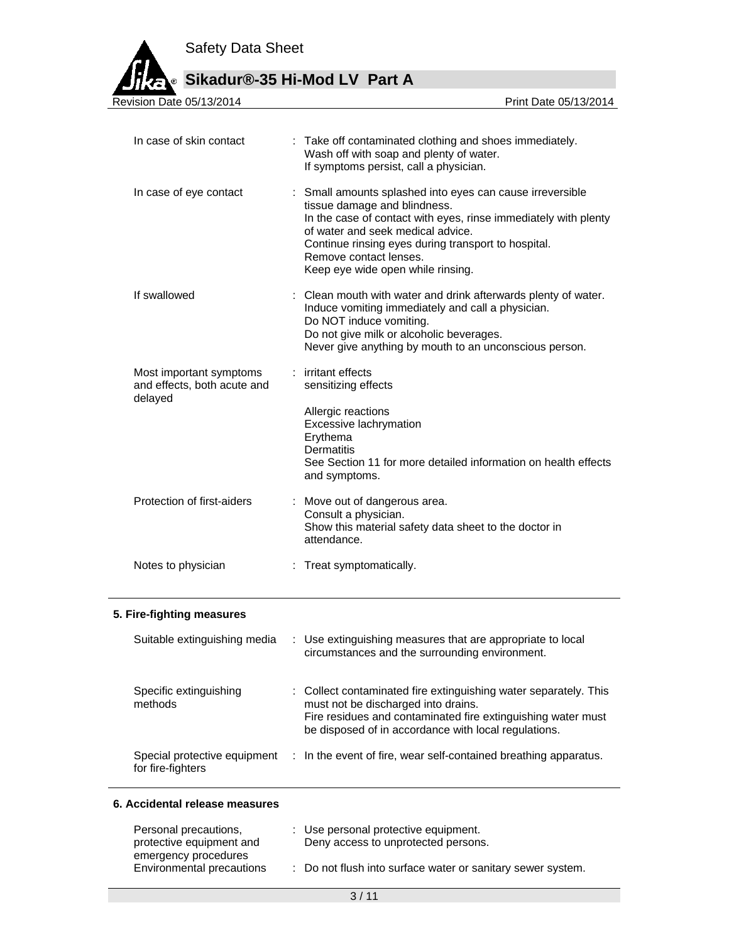**Sikadur®-35 Hi-Mod LV Part A**

Revision Date 05/13/2014

| In case of skin contact                                           | : Take off contaminated clothing and shoes immediately.<br>Wash off with soap and plenty of water.<br>If symptoms persist, call a physician.                                                                                                                                                                            |  |
|-------------------------------------------------------------------|-------------------------------------------------------------------------------------------------------------------------------------------------------------------------------------------------------------------------------------------------------------------------------------------------------------------------|--|
| In case of eye contact                                            | : Small amounts splashed into eyes can cause irreversible<br>tissue damage and blindness.<br>In the case of contact with eyes, rinse immediately with plenty<br>of water and seek medical advice.<br>Continue rinsing eyes during transport to hospital.<br>Remove contact lenses.<br>Keep eye wide open while rinsing. |  |
| If swallowed                                                      | : Clean mouth with water and drink afterwards plenty of water.<br>Induce vomiting immediately and call a physician.<br>Do NOT induce vomiting.<br>Do not give milk or alcoholic beverages.<br>Never give anything by mouth to an unconscious person.                                                                    |  |
| Most important symptoms<br>and effects, both acute and<br>delayed | : irritant effects<br>sensitizing effects<br>Allergic reactions<br>Excessive lachrymation<br>Erythema<br><b>Dermatitis</b><br>See Section 11 for more detailed information on health effects<br>and symptoms.                                                                                                           |  |
| Protection of first-aiders                                        | : Move out of dangerous area.<br>Consult a physician.<br>Show this material safety data sheet to the doctor in<br>attendance.                                                                                                                                                                                           |  |
| Notes to physician                                                | : Treat symptomatically.                                                                                                                                                                                                                                                                                                |  |

### **5. Fire-fighting measures**

| Suitable extinguishing media                      | : Use extinguishing measures that are appropriate to local<br>circumstances and the surrounding environment.                                                                                                                    |
|---------------------------------------------------|---------------------------------------------------------------------------------------------------------------------------------------------------------------------------------------------------------------------------------|
| Specific extinguishing<br>methods                 | : Collect contaminated fire extinguishing water separately. This<br>must not be discharged into drains.<br>Fire residues and contaminated fire extinguishing water must<br>be disposed of in accordance with local regulations. |
| Special protective equipment<br>for fire-fighters | : In the event of fire, wear self-contained breathing apparatus.                                                                                                                                                                |

# **6. Accidental release measures**

| Personal precautions,                             | : Use personal protective equipment.                        |
|---------------------------------------------------|-------------------------------------------------------------|
| protective equipment and                          | Deny access to unprotected persons.                         |
| emergency procedures<br>Environmental precautions | : Do not flush into surface water or sanitary sewer system. |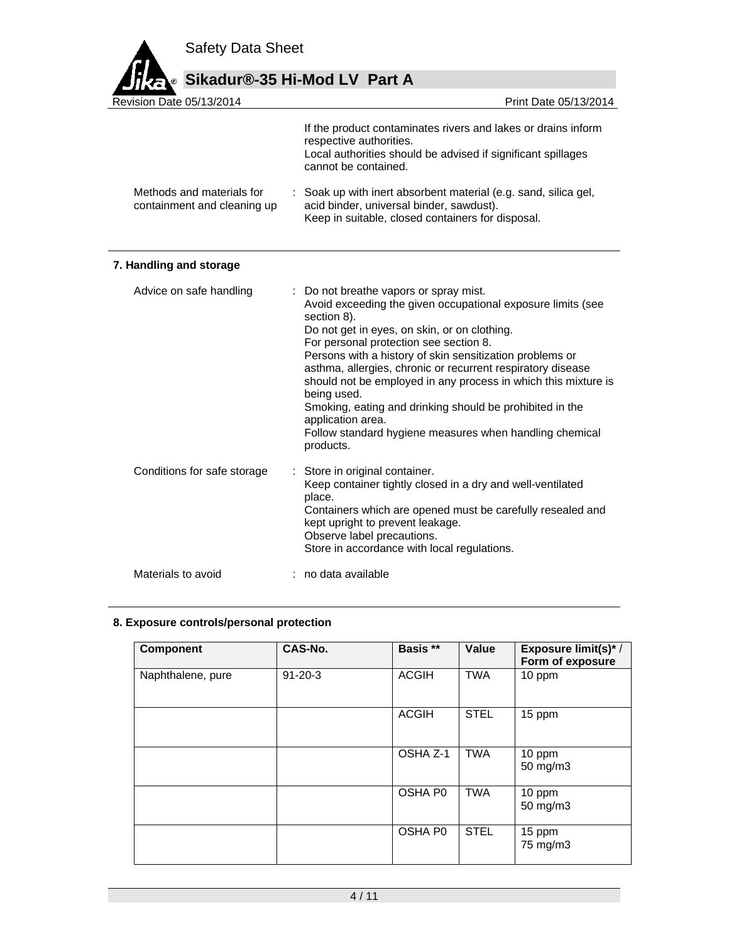

# **Sikadur®-35 Hi-Mod LV Part A**

Revision Date 05/13/2014 If the product contaminates rivers and lakes or drains inform respective authorities. Local authorities should be advised if significant spillages cannot be contained. Methods and materials for containment and cleaning up : Soak up with inert absorbent material (e.g. sand, silica gel, acid binder, universal binder, sawdust). Keep in suitable, closed containers for disposal.

# **7. Handling and storage**

| Advice on safe handling     | : Do not breathe vapors or spray mist.<br>Avoid exceeding the given occupational exposure limits (see<br>section 8).<br>Do not get in eyes, on skin, or on clothing.<br>For personal protection see section 8.<br>Persons with a history of skin sensitization problems or<br>asthma, allergies, chronic or recurrent respiratory disease<br>should not be employed in any process in which this mixture is<br>being used.<br>Smoking, eating and drinking should be prohibited in the<br>application area.<br>Follow standard hygiene measures when handling chemical<br>products. |  |
|-----------------------------|-------------------------------------------------------------------------------------------------------------------------------------------------------------------------------------------------------------------------------------------------------------------------------------------------------------------------------------------------------------------------------------------------------------------------------------------------------------------------------------------------------------------------------------------------------------------------------------|--|
| Conditions for safe storage | : Store in original container.<br>Keep container tightly closed in a dry and well-ventilated<br>place.<br>Containers which are opened must be carefully resealed and<br>kept upright to prevent leakage.<br>Observe label precautions.<br>Store in accordance with local regulations.                                                                                                                                                                                                                                                                                               |  |
| Materials to avoid          | : no data available                                                                                                                                                                                                                                                                                                                                                                                                                                                                                                                                                                 |  |

### **8. Exposure controls/personal protection**

| <b>Component</b>  | CAS-No.       | Basis **            | Value       | <b>Exposure limit(s)*/</b><br>Form of exposure |
|-------------------|---------------|---------------------|-------------|------------------------------------------------|
| Naphthalene, pure | $91 - 20 - 3$ | <b>ACGIH</b>        | <b>TWA</b>  | 10 ppm                                         |
|                   |               | <b>ACGIH</b>        | <b>STEL</b> | 15 ppm                                         |
|                   |               | OSHA Z-1            | <b>TWA</b>  | 10 ppm<br>50 mg/m3                             |
|                   |               | OSHA P <sub>0</sub> | <b>TWA</b>  | 10 ppm<br>50 mg/m3                             |
|                   |               | OSHA P0             | <b>STEL</b> | 15 ppm<br>75 mg/m3                             |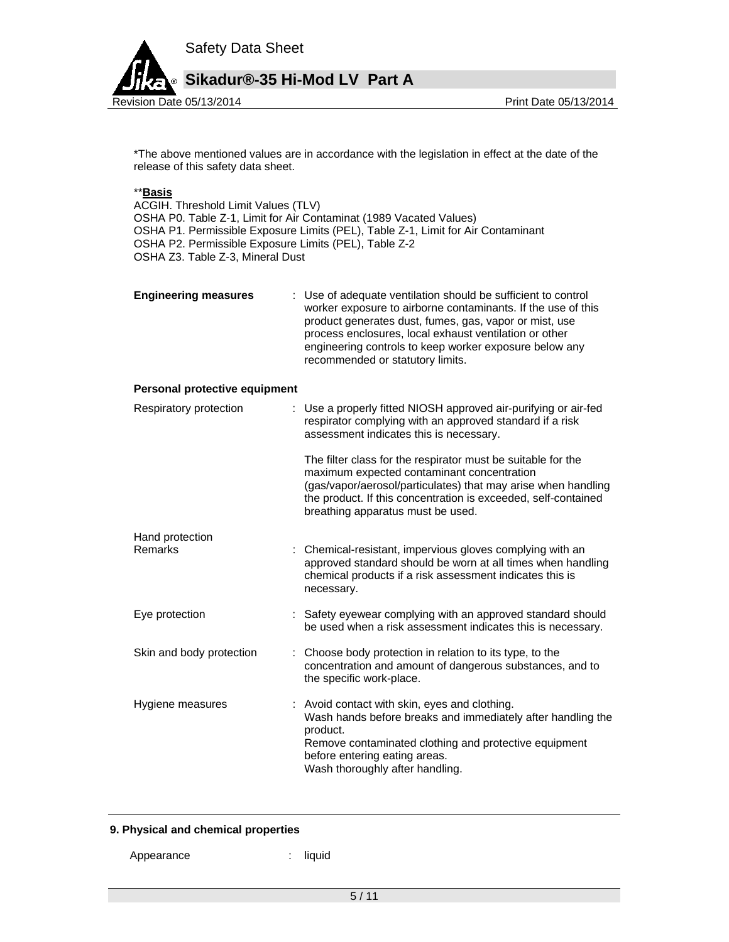

\*The above mentioned values are in accordance with the legislation in effect at the date of the release of this safety data sheet.

### \*\***Basis**

ACGIH. Threshold Limit Values (TLV) OSHA P0. Table Z-1, Limit for Air Contaminat (1989 Vacated Values) OSHA P1. Permissible Exposure Limits (PEL), Table Z-1, Limit for Air Contaminant OSHA P2. Permissible Exposure Limits (PEL), Table Z-2 OSHA Z3. Table Z-3, Mineral Dust

| <b>Engineering measures</b> | : Use of adequate ventilation should be sufficient to control<br>worker exposure to airborne contaminants. If the use of this<br>product generates dust, fumes, gas, vapor or mist, use<br>process enclosures, local exhaust ventilation or other<br>engineering controls to keep worker exposure below any<br>recommended or statutory limits. |
|-----------------------------|-------------------------------------------------------------------------------------------------------------------------------------------------------------------------------------------------------------------------------------------------------------------------------------------------------------------------------------------------|
|                             |                                                                                                                                                                                                                                                                                                                                                 |

#### **Personal protective equipment**

| Respiratory protection   | : Use a properly fitted NIOSH approved air-purifying or air-fed<br>respirator complying with an approved standard if a risk<br>assessment indicates this is necessary.                                                                                                             |
|--------------------------|------------------------------------------------------------------------------------------------------------------------------------------------------------------------------------------------------------------------------------------------------------------------------------|
|                          | The filter class for the respirator must be suitable for the<br>maximum expected contaminant concentration<br>(gas/vapor/aerosol/particulates) that may arise when handling<br>the product. If this concentration is exceeded, self-contained<br>breathing apparatus must be used. |
| Hand protection          |                                                                                                                                                                                                                                                                                    |
| Remarks                  | : Chemical-resistant, impervious gloves complying with an<br>approved standard should be worn at all times when handling<br>chemical products if a risk assessment indicates this is<br>necessary.                                                                                 |
| Eye protection           | : Safety eyewear complying with an approved standard should<br>be used when a risk assessment indicates this is necessary.                                                                                                                                                         |
| Skin and body protection | : Choose body protection in relation to its type, to the<br>concentration and amount of dangerous substances, and to<br>the specific work-place.                                                                                                                                   |
| Hygiene measures         | : Avoid contact with skin, eyes and clothing.<br>Wash hands before breaks and immediately after handling the<br>product.<br>Remove contaminated clothing and protective equipment<br>before entering eating areas.<br>Wash thoroughly after handling.                              |

### **9. Physical and chemical properties**

Appearance : liquid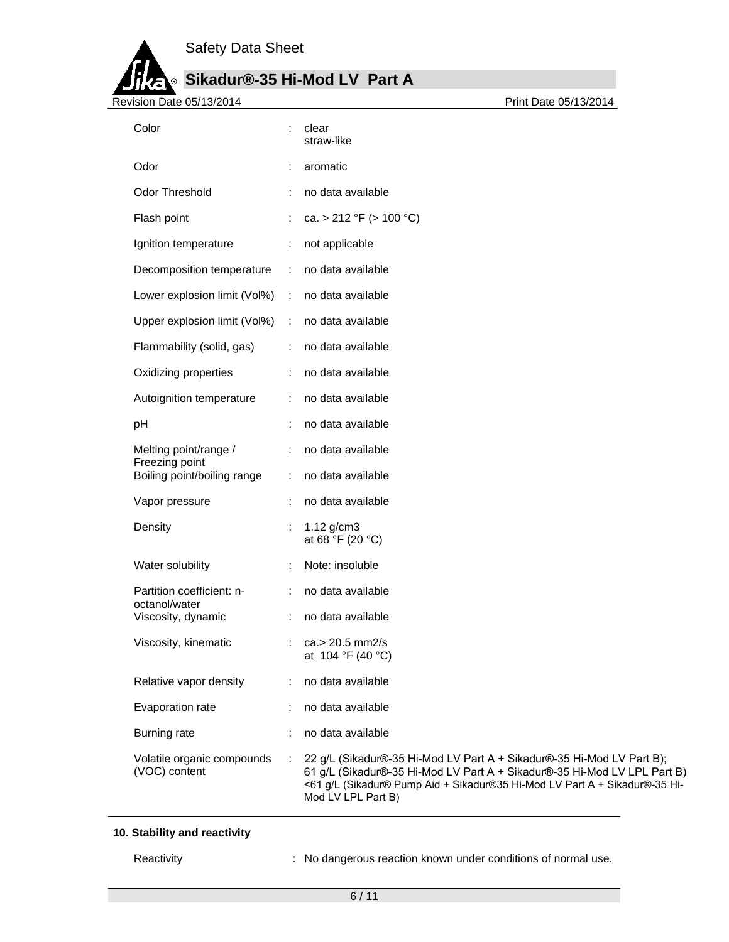**Sikadur®-35 Hi-Mod LV Part A**

Revision Date 05/13/2014

ø

| Color                                         |                | clear<br>straw-like                                                                                                                                                                                                                                   |
|-----------------------------------------------|----------------|-------------------------------------------------------------------------------------------------------------------------------------------------------------------------------------------------------------------------------------------------------|
| Odor                                          |                | aromatic                                                                                                                                                                                                                                              |
| Odor Threshold                                |                | no data available                                                                                                                                                                                                                                     |
| Flash point                                   |                | ca. > 212 °F (> 100 °C)                                                                                                                                                                                                                               |
| Ignition temperature                          | ÷              | not applicable                                                                                                                                                                                                                                        |
| Decomposition temperature                     | ÷              | no data available                                                                                                                                                                                                                                     |
| Lower explosion limit (Vol%)                  | ÷              | no data available                                                                                                                                                                                                                                     |
| Upper explosion limit (Vol%)                  | ÷              | no data available                                                                                                                                                                                                                                     |
| Flammability (solid, gas)                     |                | no data available                                                                                                                                                                                                                                     |
| Oxidizing properties                          |                | no data available                                                                                                                                                                                                                                     |
| Autoignition temperature                      |                | no data available                                                                                                                                                                                                                                     |
| pH                                            |                | no data available                                                                                                                                                                                                                                     |
| Melting point/range /                         | ÷              | no data available                                                                                                                                                                                                                                     |
| Freezing point<br>Boiling point/boiling range |                | no data available                                                                                                                                                                                                                                     |
| Vapor pressure                                |                | no data available                                                                                                                                                                                                                                     |
| Density                                       |                | $1.12$ g/cm3<br>at 68 °F (20 °C)                                                                                                                                                                                                                      |
| Water solubility                              |                | Note: insoluble                                                                                                                                                                                                                                       |
| Partition coefficient: n-<br>octanol/water    |                | no data available                                                                                                                                                                                                                                     |
| Viscosity, dynamic                            |                | no data available                                                                                                                                                                                                                                     |
| Viscosity, kinematic                          |                | ca.> 20.5 mm2/s<br>at 104 °F (40 °C)                                                                                                                                                                                                                  |
| Relative vapor density                        | ÷              | no data available                                                                                                                                                                                                                                     |
| Evaporation rate                              |                | no data available                                                                                                                                                                                                                                     |
| Burning rate                                  |                | no data available                                                                                                                                                                                                                                     |
| Volatile organic compounds<br>(VOC) content   | $\ddot{\cdot}$ | 22 g/L (Sikadur®-35 Hi-Mod LV Part A + Sikadur®-35 Hi-Mod LV Part B);<br>61 g/L (Sikadur®-35 Hi-Mod LV Part A + Sikadur®-35 Hi-Mod LV LPL Part B)<br><61 g/L (Sikadur® Pump Aid + Sikadur®35 Hi-Mod LV Part A + Sikadur®-35 Hi-<br>Mod LV LPL Part B) |

### **10. Stability and reactivity**

Reactivity **Reactivity** : No dangerous reaction known under conditions of normal use.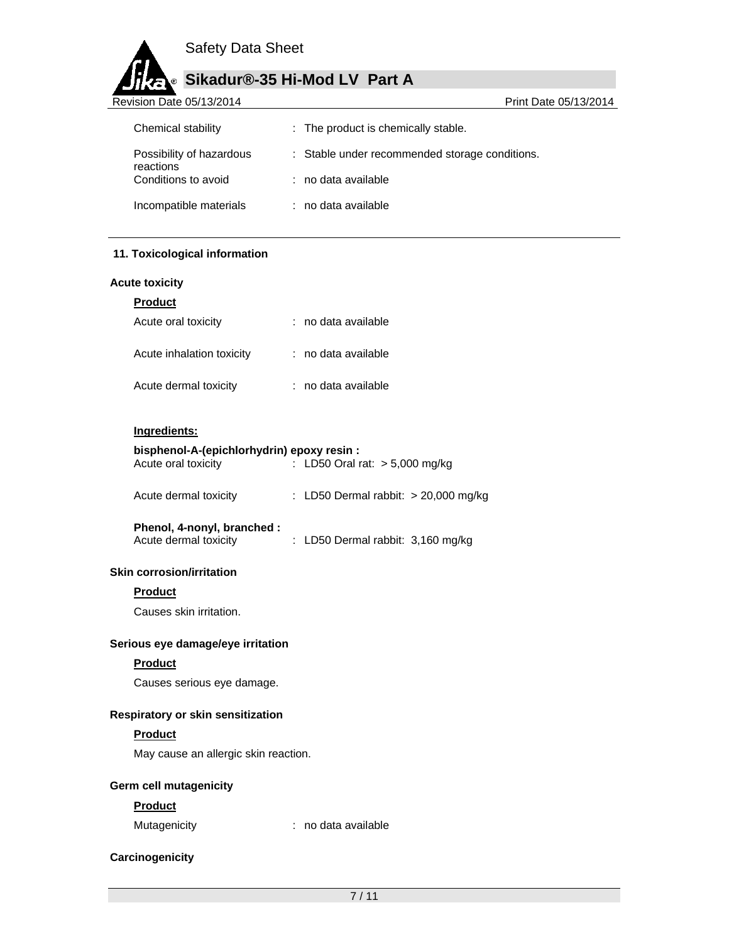

# **Sikadur®-35 Hi-Mod LV Part A**

| Revision Date 05/13/2014         | Print Date 05/13/2014                          |
|----------------------------------|------------------------------------------------|
| Chemical stability               | : The product is chemically stable.            |
| Possibility of hazardous         | : Stable under recommended storage conditions. |
| reactions<br>Conditions to avoid | : no data available                            |
| Incompatible materials           | : no data available                            |

### **11. Toxicological information**

### **Acute toxicity**

| <b>Product</b>            |                   |
|---------------------------|-------------------|
| Acute oral toxicity       | no data available |
| Acute inhalation toxicity | no data available |
| Acute dermal toxicity     | no data available |

### **Ingredients:**

# **bisphenol-A-(epichlorhydrin) epoxy resin :**

| Acute oral toxicity | : LD50 Oral rat: $> 5,000$ mg/kg |
|---------------------|----------------------------------|
|                     |                                  |

| Acute dermal toxicity |  | LD50 Dermal rabbit: $>$ 20,000 mg/kg |  |  |
|-----------------------|--|--------------------------------------|--|--|
|-----------------------|--|--------------------------------------|--|--|

| Phenol, 4-nonyl, branched : |                                   |  |
|-----------------------------|-----------------------------------|--|
| Acute dermal toxicity       | : LD50 Dermal rabbit: 3,160 mg/kg |  |

### **Skin corrosion/irritation**

### **Product**

Causes skin irritation.

### **Serious eye damage/eye irritation**

### **Product**

Causes serious eye damage.

# **Respiratory or skin sensitization**

# **Product**

May cause an allergic skin reaction.

# **Germ cell mutagenicity**

### **Product**

Mutagenicity **interpretent in the Contract of the Mutagenicity**  $\cdot$  no data available

## **Carcinogenicity**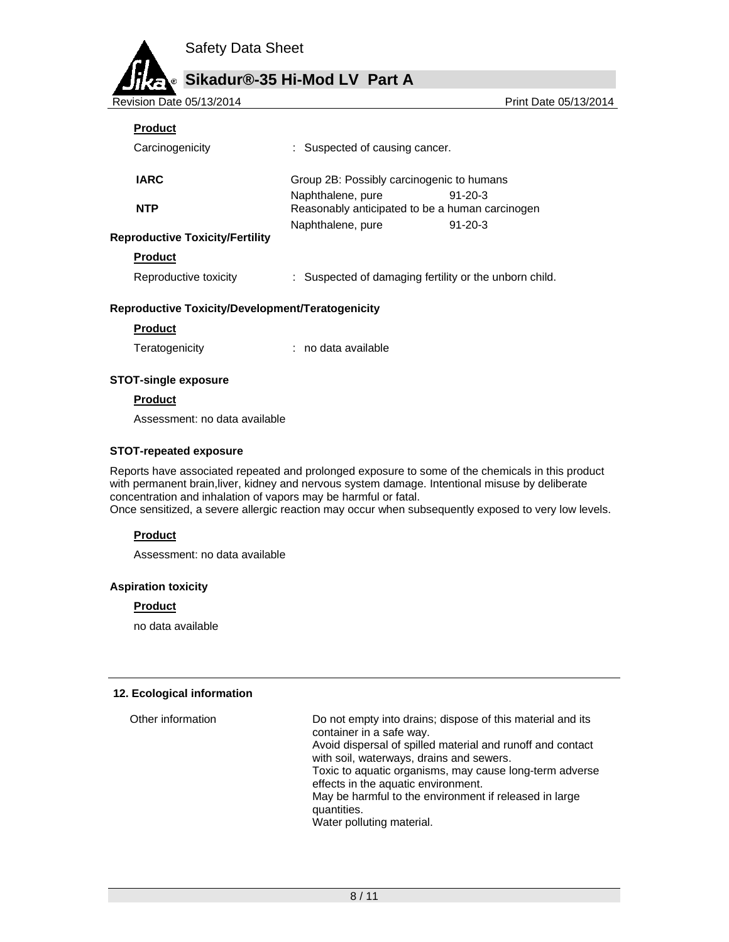

| Revision Date 05/13/2014 |
|--------------------------|

Revision Date 05/13/2014 Print Date 05/13/2014

# **Product**

| Carcinogenicity                        | : Suspected of causing cancer.                                       |               |
|----------------------------------------|----------------------------------------------------------------------|---------------|
| <b>IARC</b>                            | Group 2B: Possibly carcinogenic to humans                            |               |
| <b>NTP</b>                             | Naphthalene, pure<br>Reasonably anticipated to be a human carcinogen | $91 - 20 - 3$ |
|                                        | Naphthalene, pure                                                    | $91 - 20 - 3$ |
| <b>Reproductive Toxicity/Fertility</b> |                                                                      |               |
| <b>Product</b>                         |                                                                      |               |
| Reproductive toxicity                  | Suspected of damaging fertility or the unborn child.                 |               |

### **Reproductive Toxicity/Development/Teratogenicity**

**Product** 

Teratogenicity **interpretatally** in the data available

### **STOT-single exposure**

### **Product**

Assessment: no data available

### **STOT-repeated exposure**

Reports have associated repeated and prolonged exposure to some of the chemicals in this product with permanent brain,liver, kidney and nervous system damage. Intentional misuse by deliberate concentration and inhalation of vapors may be harmful or fatal.

Once sensitized, a severe allergic reaction may occur when subsequently exposed to very low levels.

# **Product**

Assessment: no data available

### **Aspiration toxicity**

#### **Product**

no data available

### **12. Ecological information**

| Other information | Do not empty into drains; dispose of this material and its<br>container in a safe way.<br>Avoid dispersal of spilled material and runoff and contact<br>with soil, waterways, drains and sewers.<br>Toxic to aquatic organisms, may cause long-term adverse<br>effects in the aquatic environment.<br>May be harmful to the environment if released in large<br>quantities.<br>Water polluting material. |
|-------------------|----------------------------------------------------------------------------------------------------------------------------------------------------------------------------------------------------------------------------------------------------------------------------------------------------------------------------------------------------------------------------------------------------------|
|                   |                                                                                                                                                                                                                                                                                                                                                                                                          |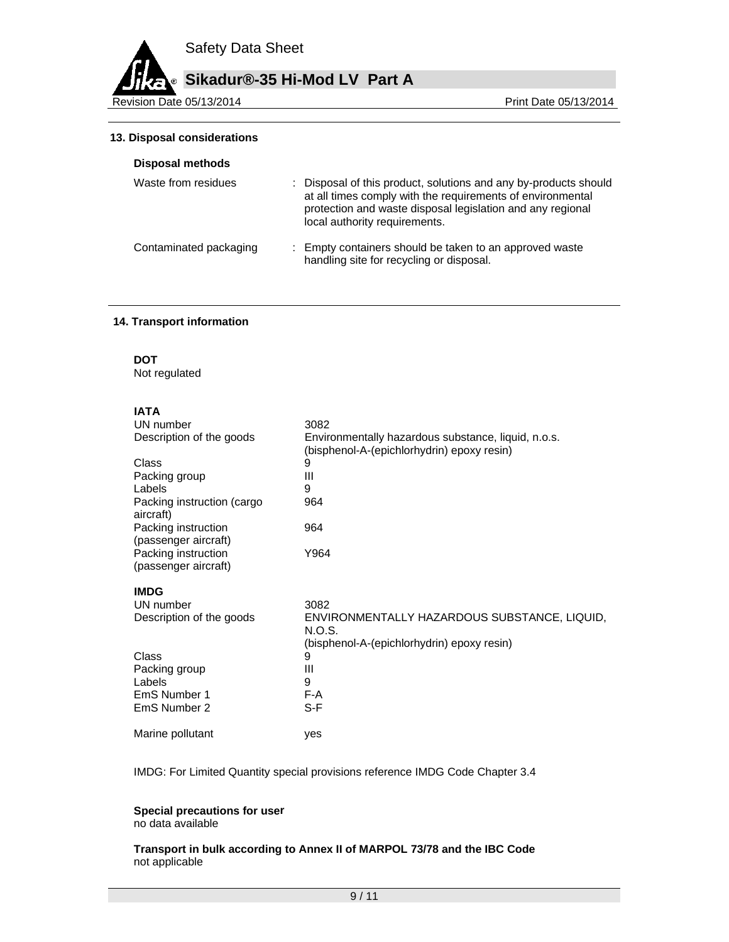**Sikadur®-35 Hi-Mod LV Part A**

Revision Date 05/13/2014 **Revision Date 05/13/2014** 

#### **13. Disposal considerations**

| Disposal methods       |                                                                                                                                                                                                                               |
|------------------------|-------------------------------------------------------------------------------------------------------------------------------------------------------------------------------------------------------------------------------|
| Waste from residues    | : Disposal of this product, solutions and any by-products should<br>at all times comply with the requirements of environmental<br>protection and waste disposal legislation and any regional<br>local authority requirements. |
| Contaminated packaging | : Empty containers should be taken to an approved waste<br>handling site for recycling or disposal.                                                                                                                           |

### **14. Transport information**

**DOT** 

Not regulated

# **IATA**

| UN number                                   | 3082                                                                                              |
|---------------------------------------------|---------------------------------------------------------------------------------------------------|
| Description of the goods                    | Environmentally hazardous substance, liquid, n.o.s.<br>(bisphenol-A-(epichlorhydrin) epoxy resin) |
| Class                                       | 9                                                                                                 |
| Packing group                               | Ш                                                                                                 |
| Labels                                      | 9                                                                                                 |
| Packing instruction (cargo<br>aircraft)     | 964                                                                                               |
| Packing instruction<br>(passenger aircraft) | 964                                                                                               |
| Packing instruction<br>(passenger aircraft) | Y964                                                                                              |
| <b>IMDG</b>                                 |                                                                                                   |
| UN number                                   | 3082                                                                                              |
| Description of the goods                    | ENVIRONMENTALLY HAZARDOUS SUBSTANCE, LIQUID,<br>N.O.S.                                            |
|                                             | (bisphenol-A-(epichlorhydrin) epoxy resin)                                                        |
| Class                                       | 9                                                                                                 |
| Packing group                               | Ш                                                                                                 |
| Labels                                      | 9                                                                                                 |
| EmS Number 1                                | F-A                                                                                               |
| EmS Number 2                                | S-F                                                                                               |
| Marine pollutant                            | ves                                                                                               |

IMDG: For Limited Quantity special provisions reference IMDG Code Chapter 3.4

# **Special precautions for user**

no data available

**Transport in bulk according to Annex II of MARPOL 73/78 and the IBC Code**  not applicable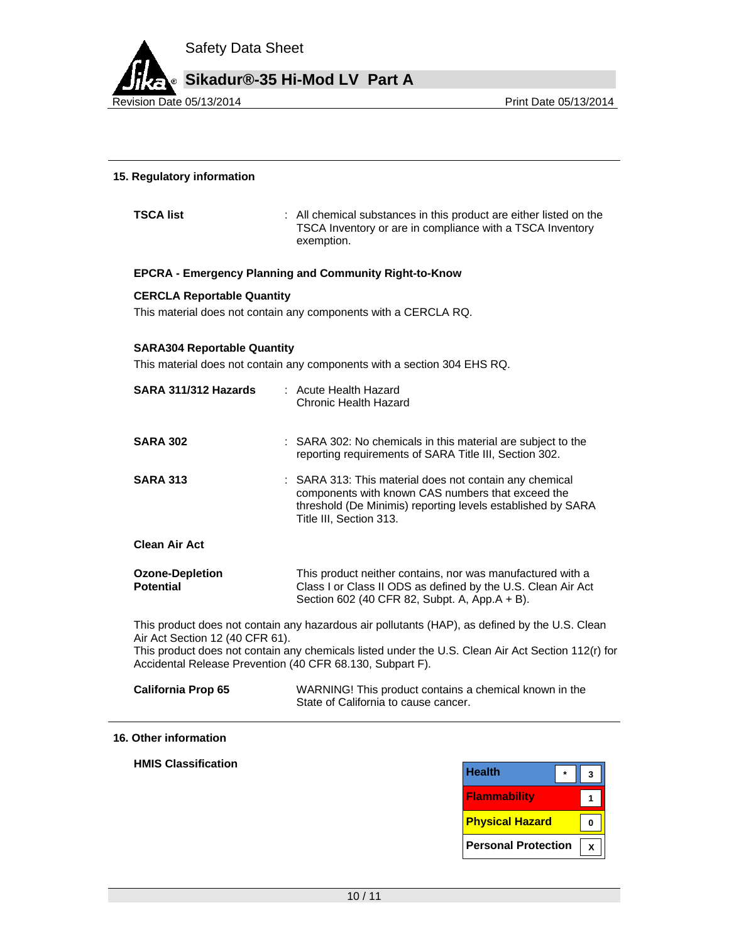

### **15. Regulatory information**

**TSCA list EXECA list EXECA list EXECA list EXECA list EXECA list EXECA list EXECA list EXECA list EXECA list EXECA list EXECA list** TSCA Inventory or are in compliance with a TSCA Inventory exemption.

### **EPCRA - Emergency Planning and Community Right-to-Know**

### **CERCLA Reportable Quantity**

This material does not contain any components with a CERCLA RQ.

#### **SARA304 Reportable Quantity**

This material does not contain any components with a section 304 EHS RQ.

| SARA 311/312 Hazards                                                                         | : Acute Health Hazard<br>Chronic Health Hazard                                                                                                                                                         |
|----------------------------------------------------------------------------------------------|--------------------------------------------------------------------------------------------------------------------------------------------------------------------------------------------------------|
| <b>SARA 302</b>                                                                              | : SARA 302: No chemicals in this material are subject to the<br>reporting requirements of SARA Title III, Section 302.                                                                                 |
| <b>SARA 313</b>                                                                              | : SARA 313: This material does not contain any chemical<br>components with known CAS numbers that exceed the<br>threshold (De Minimis) reporting levels established by SARA<br>Title III, Section 313. |
| <b>Clean Air Act</b>                                                                         |                                                                                                                                                                                                        |
| <b>Ozone-Depletion</b><br><b>Potential</b>                                                   | This product neither contains, nor was manufactured with a<br>Class I or Class II ODS as defined by the U.S. Clean Air Act<br>Section 602 (40 CFR 82, Subpt. A, App.A + B).                            |
| Air Act Section 12 (40 CFR 61).<br>Accidental Release Prevention (40 CFR 68.130, Subpart F). | This product does not contain any hazardous air pollutants (HAP), as defined by the U.S. Clean<br>This product does not contain any chemicals listed under the U.S. Clean Air Act Section 112(r) for   |
| <b>California Prop 65</b>                                                                    | WARNING! This product contains a chemical known in the                                                                                                                                                 |

State of California to cause cancer.

#### **16. Other information**

**HMIS Classification** 

| <b>Health</b>              |  |
|----------------------------|--|
| <b>Flammability</b>        |  |
| <b>Physical Hazard</b>     |  |
| <b>Personal Protection</b> |  |